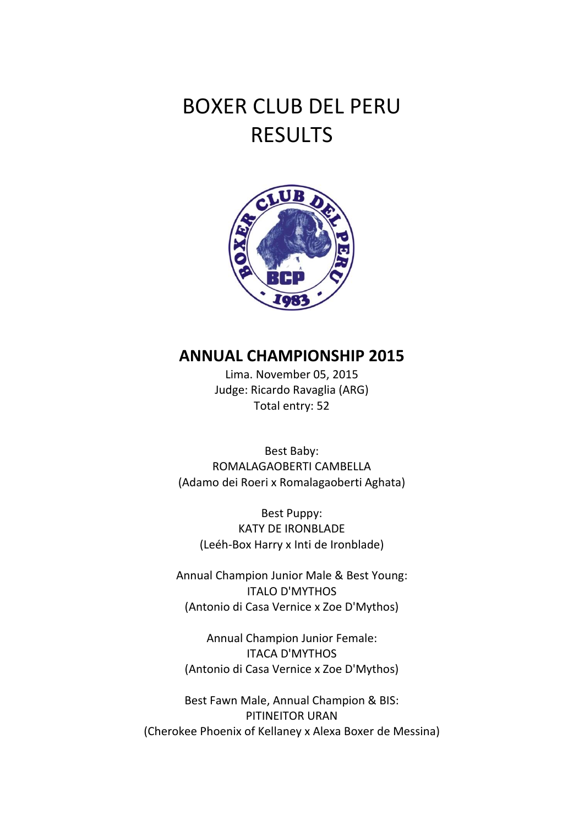## BOXER CLUB DEL PERU RESULTS



## **ANNUAL CHAMPIONSHIP 2015**

Lima. November 05, 2015 Judge: Ricardo Ravaglia (ARG) Total entry: 52

Best Baby: ROMALAGAOBERTI CAMBELLA (Adamo dei Roeri x Romalagaoberti Aghata)

Best Puppy: KATY DE IRONBLADE (Leéh-Box Harry x Inti de Ironblade)

Annual Champion Junior Male & Best Young: ITALO D'MYTHOS (Antonio di Casa Vernice x Zoe D'Mythos)

Annual Champion Junior Female: ITACA D'MYTHOS (Antonio di Casa Vernice x Zoe D'Mythos)

Best Fawn Male, Annual Champion & BIS: PITINEITOR URAN (Cherokee Phoenix of Kellaney x Alexa Boxer de Messina)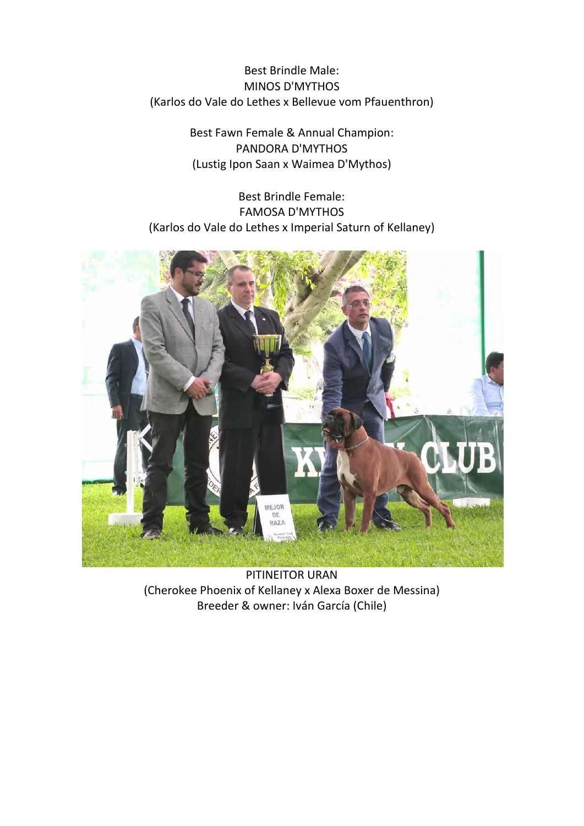Best Brindle Male: MINOS D'MYTHOS (Karlos do Vale do Lethes x Bellevue vom Pfauenthron)

> Best Fawn Female & Annual Champion: PANDORA D'MYTHOS (Lustig Ipon Saan x Waimea D'Mythos)

Best Brindle Female: FAMOSA D'MYTHOS (Karlos do Vale do Lethes x Imperial Saturn of Kellaney)



PITINEITOR URAN (Cherokee Phoenix of Kellaney x Alexa Boxer de Messina) Breeder & owner: Iván García (Chile)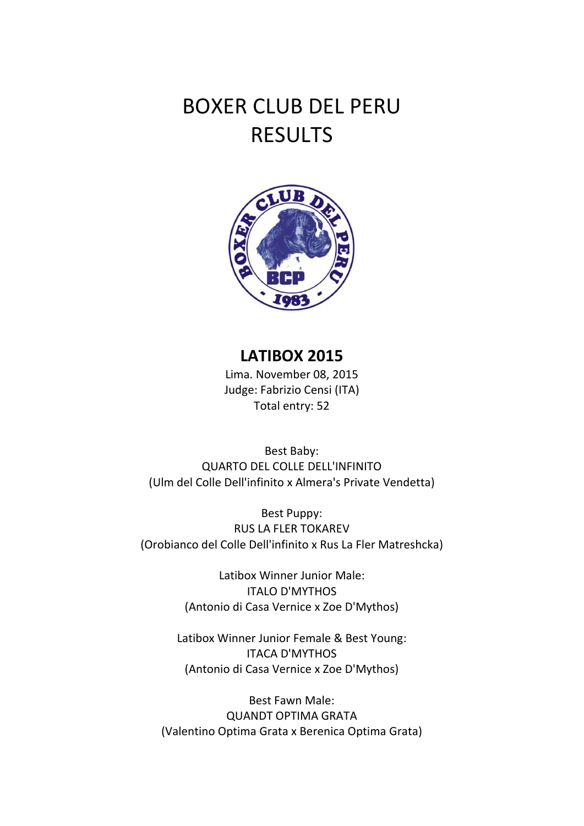## BOXER CLUB DEL PERU RESULTS



## **LATIBOX 2015**

Lima. November 08, 2015 Judge: Fabrizio Censi (ITA) Total entry: 52

Best Baby: QUARTO DEL COLLE DELL'INFINITO (Ulm del Colle Dell'infinito x Almera's Private Vendetta)

Best Puppy: RUS LA FLER TOKAREV (Orobianco del Colle Dell'infinito x Rus La Fler Matreshcka)

> Latibox Winner Junior Male: ITALO D'MYTHOS (Antonio di Casa Vernice x Zoe D'Mythos)

Latibox Winner Junior Female & Best Young: ITACA D'MYTHOS (Antonio di Casa Vernice x Zoe D'Mythos)

Best Fawn Male: QUANDT OPTIMA GRATA (Valentino Optima Grata x Berenica Optima Grata)